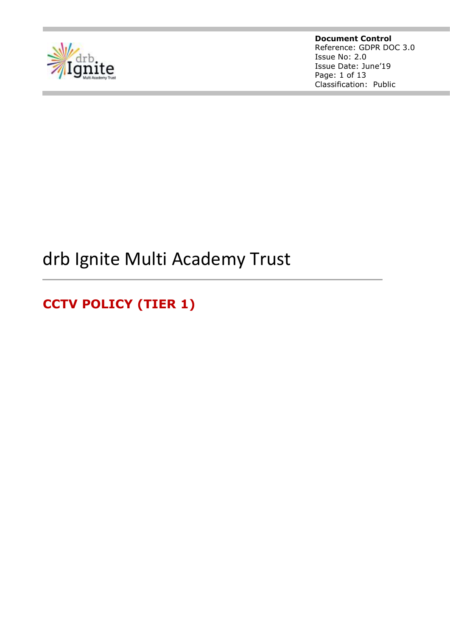

**Document Control** Reference: GDPR DOC 3.0 Issue No: 2.0 Issue Date: June'19 Page: 1 of 13 Classification: Public

# drb Ignite Multi Academy Trust

**CCTV POLICY (TIER 1)**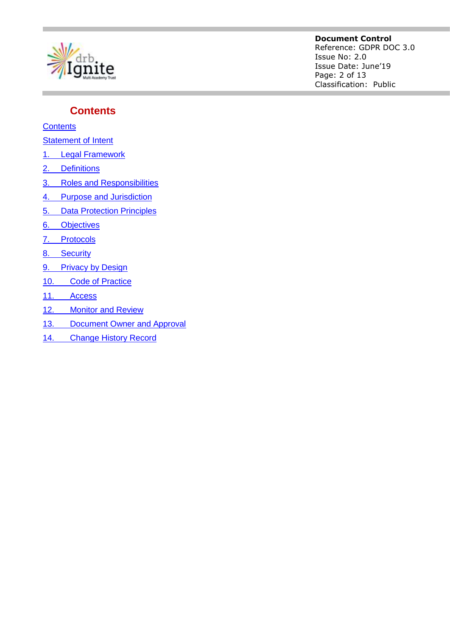

#### **Document Control**

Reference: GDPR DOC 3.0 Issue No: 2.0 Issue Date: June'19 Page: 2 of 13 Classification: Public

#### <span id="page-1-0"></span>**Contents**

**[Contents](#page-1-0)** 

**[Statement of Intent](#page-2-0)** 

- 1. [Legal Framework](#page-3-0)
- 2. [Definitions](#page-4-0)
- 3. [Roles and Responsibilities](#page-5-0)
- 4. [Purpose and Jurisdiction](#page-6-0)
- 5. [Data Protection Principles](#page-6-1)
- 6. [Objectives](#page-7-0)
- 7. [Protocols](#page-7-1)
- 8. [Security](#page-8-0)
- 9. [Privacy by Design](#page-8-1)
- 10. [Code of Practice](#page-9-0)
- 11. [Access](#page-10-0)
- 12. [Monitor and Review](#page-11-0)
- 13. [Document Owner and Approval](#page-12-0)
- 14. [Change History Record](#page-12-1)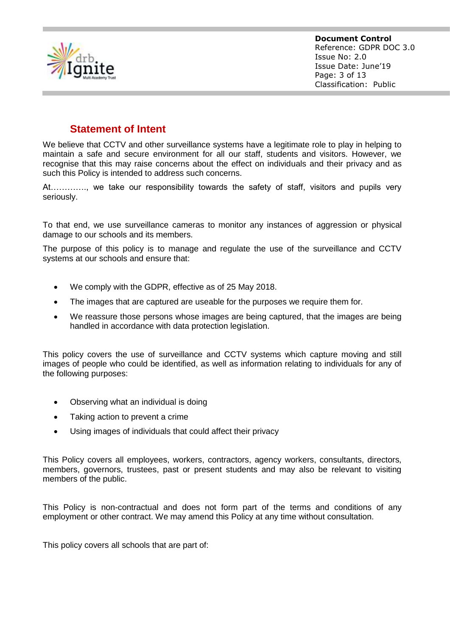

### **Statement of Intent**

<span id="page-2-0"></span>We believe that CCTV and other surveillance systems have a legitimate role to play in helping to maintain a safe and secure environment for all our staff, students and visitors. However, we recognise that this may raise concerns about the effect on individuals and their privacy and as such this Policy is intended to address such concerns.

At…………., we take our responsibility towards the safety of staff, visitors and pupils very seriously.

To that end, we use surveillance cameras to monitor any instances of aggression or physical damage to our schools and its members.

The purpose of this policy is to manage and regulate the use of the surveillance and CCTV systems at our schools and ensure that:

- We comply with the GDPR, effective as of 25 May 2018.
- The images that are captured are useable for the purposes we require them for.
- We reassure those persons whose images are being captured, that the images are being handled in accordance with data protection legislation.

This policy covers the use of surveillance and CCTV systems which capture moving and still images of people who could be identified, as well as information relating to individuals for any of the following purposes:

- Observing what an individual is doing
- Taking action to prevent a crime
- Using images of individuals that could affect their privacy

This Policy covers all employees, workers, contractors, agency workers, consultants, directors, members, governors, trustees, past or present students and may also be relevant to visiting members of the public.

This Policy is non-contractual and does not form part of the terms and conditions of any employment or other contract. We may amend this Policy at any time without consultation.

This policy covers all schools that are part of: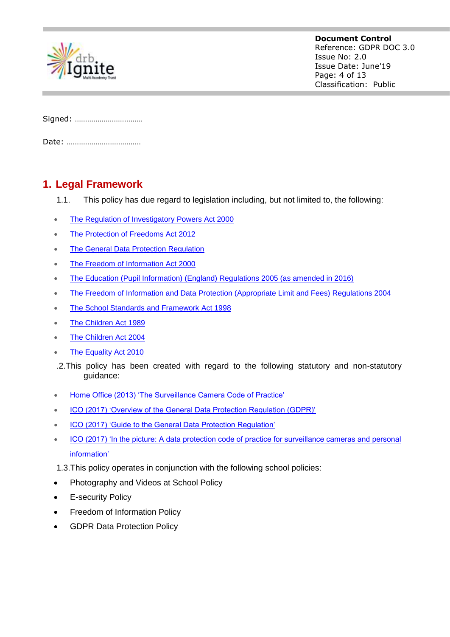

| Signed: |
|---------|
|         |

Date: ………………………………

## <span id="page-3-0"></span>**1. Legal Framework**

- 1.1. This policy has due regard to legislation including, but not limited to, the following:
- [The Regulation of Investigatory Powers Act 2000](https://www.legislation.gov.uk/ukpga/2000/23/contents)
- [The Protection of Freedoms Act 2012](http://www.legislation.gov.uk/ukpga/2012/9/contents/enacted)
- [The General Data Protection Regulation](https://www.eugdpr.org/)
- [The Freedom of Information Act 2000](https://www.legislation.gov.uk/ukpga/2000/36/contents)
- [The Education \(Pupil Information\) \(England\) Regulations 2005 \(as amended in 2016\)](http://www.legislation.gov.uk/uksi/2016/808/made)
- [The Freedom of Information and Data Protection \(Appropriate Limit and Fees\) Regulations 2004](http://www.legislation.gov.uk/uksi/2004/3244/contents/made)
- [The School Standards and Framework Act 1998](http://www.legislation.gov.uk/ukpga/1998/31/contents)
- [The Children Act 1989](https://www.legislation.gov.uk/ukpga/1989/41/contents)
- [The Children Act 2004](https://www.legislation.gov.uk/ukpga/2004/31/contents)
- [The Equality Act 2010](https://www.legislation.gov.uk/ukpga/2010/15/contents)
- .2.This policy has been created with regard to the following statutory and non-statutory guidance:
- [Home Office \(2013\) 'The Surveillance Camera Code of Practice'](https://www.gov.uk/government/publications/surveillance-camera-code-of-practice)
- [ICO \(2017\) 'Overview of the General Data Protection Regulation \(GDPR\)'](https://ico.org.uk/for-organisations/guide-to-the-general-data-protection-regulation-gdpr/)
- [ICO \(2017\) 'Guide to the General Data Protection Regulation'](https://ico.org.uk/media/for-organisations/guide-to-the-general-data-protection-regulation-gdpr-1-0.pdf)
- [ICO \(2017\) 'In the picture: A data protection code of practice for surveillance cameras and personal](https://ico.org.uk/media/1542/cctv-code-of-practice.pdf)  [information'](https://ico.org.uk/media/1542/cctv-code-of-practice.pdf)
- 1.3.This policy operates in conjunction with the following school policies:
- Photography and Videos at School Policy
- E-security Policy
- Freedom of Information Policy
- GDPR Data Protection Policy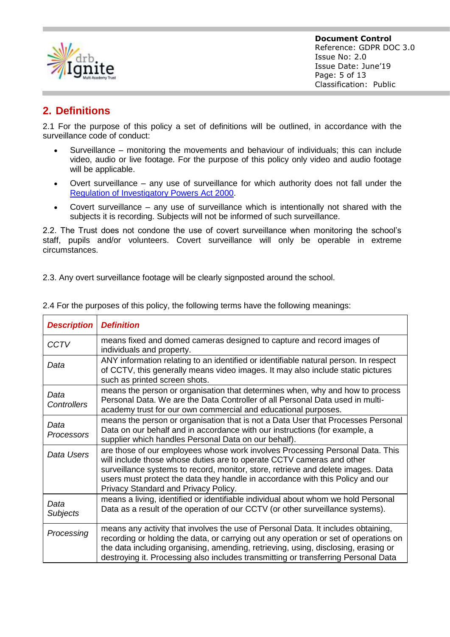

## <span id="page-4-0"></span>**2. Definitions**

2.1 For the purpose of this policy a set of definitions will be outlined, in accordance with the surveillance code of conduct:

- Surveillance monitoring the movements and behaviour of individuals; this can include video, audio or live footage. For the purpose of this policy only video and audio footage will be applicable.
- Overt surveillance any use of surveillance for which authority does not fall under th[e](https://www.legislation.gov.uk/ukpga/2000/23/contents) [Regulation of Investigatory Powers Act 2000.](https://www.legislation.gov.uk/ukpga/2000/23/contents)
- Covert surveillance any use of surveillance which is intentionally not shared with the subjects it is recording. Subjects will not be informed of such surveillance.

2.2. The Trust does not condone the use of covert surveillance when monitoring the school's staff, pupils and/or volunteers. Covert surveillance will only be operable in extreme circumstances.

2.3. Any overt surveillance footage will be clearly signposted around the school.

| <b>Description</b>         | <b>Definition</b>                                                                                                                                                                                                                                                                                                                                                    |  |  |
|----------------------------|----------------------------------------------------------------------------------------------------------------------------------------------------------------------------------------------------------------------------------------------------------------------------------------------------------------------------------------------------------------------|--|--|
| <b>CCTV</b>                | means fixed and domed cameras designed to capture and record images of<br>individuals and property.                                                                                                                                                                                                                                                                  |  |  |
| Data                       | ANY information relating to an identified or identifiable natural person. In respect<br>of CCTV, this generally means video images. It may also include static pictures<br>such as printed screen shots.                                                                                                                                                             |  |  |
| Data<br><b>Controllers</b> | means the person or organisation that determines when, why and how to process<br>Personal Data. We are the Data Controller of all Personal Data used in multi-<br>academy trust for our own commercial and educational purposes.                                                                                                                                     |  |  |
| Data<br><b>Processors</b>  | means the person or organisation that is not a Data User that Processes Personal<br>Data on our behalf and in accordance with our instructions (for example, a<br>supplier which handles Personal Data on our behalf).                                                                                                                                               |  |  |
| Data Users                 | are those of our employees whose work involves Processing Personal Data. This<br>will include those whose duties are to operate CCTV cameras and other<br>surveillance systems to record, monitor, store, retrieve and delete images. Data<br>users must protect the data they handle in accordance with this Policy and our<br>Privacy Standard and Privacy Policy. |  |  |
| Data<br><b>Subjects</b>    | means a living, identified or identifiable individual about whom we hold Personal<br>Data as a result of the operation of our CCTV (or other surveillance systems).                                                                                                                                                                                                  |  |  |
| Processing                 | means any activity that involves the use of Personal Data. It includes obtaining,<br>recording or holding the data, or carrying out any operation or set of operations on<br>the data including organising, amending, retrieving, using, disclosing, erasing or<br>destroying it. Processing also includes transmitting or transferring Personal Data                |  |  |

2.4 For the purposes of this policy, the following terms have the following meanings: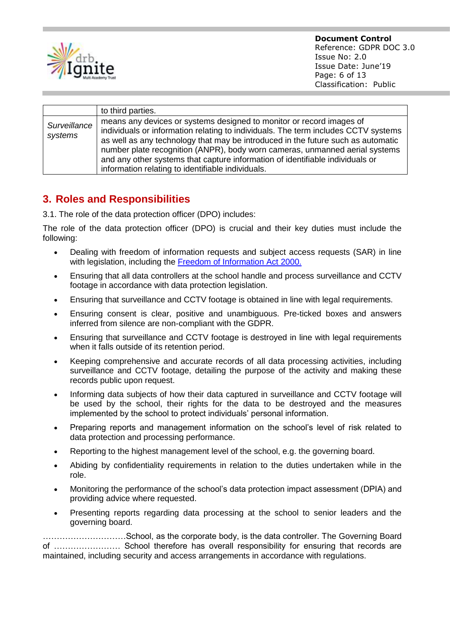

|                         | to third parties.                                                                                                                                                                                                                                                                                                                                                                                                                                                   |
|-------------------------|---------------------------------------------------------------------------------------------------------------------------------------------------------------------------------------------------------------------------------------------------------------------------------------------------------------------------------------------------------------------------------------------------------------------------------------------------------------------|
| Surveillance<br>systems | means any devices or systems designed to monitor or record images of<br>individuals or information relating to individuals. The term includes CCTV systems<br>as well as any technology that may be introduced in the future such as automatic<br>number plate recognition (ANPR), body worn cameras, unmanned aerial systems<br>and any other systems that capture information of identifiable individuals or<br>information relating to identifiable individuals. |

## <span id="page-5-0"></span>**3. Roles and Responsibilities**

3.1. The role of the data protection officer (DPO) includes:

The role of the data protection officer (DPO) is crucial and their key duties must include the following:

- Dealing with freedom of information requests and subject access requests (SAR) in line with legislation, including the [Freedom of Information Act 2000.](https://www.legislation.gov.uk/ukpga/2000/36)
- Ensuring that all data controllers at the school handle and process surveillance and CCTV footage in accordance with data protection legislation.
- Ensuring that surveillance and CCTV footage is obtained in line with legal requirements.
- Ensuring consent is clear, positive and unambiguous. Pre-ticked boxes and answers inferred from silence are non-compliant with the GDPR.
- Ensuring that surveillance and CCTV footage is destroyed in line with legal requirements when it falls outside of its retention period.
- Keeping comprehensive and accurate records of all data processing activities, including surveillance and CCTV footage, detailing the purpose of the activity and making these records public upon request.
- Informing data subjects of how their data captured in surveillance and CCTV footage will be used by the school, their rights for the data to be destroyed and the measures implemented by the school to protect individuals' personal information.
- Preparing reports and management information on the school's level of risk related to data protection and processing performance.
- Reporting to the highest management level of the school, e.g. the governing board.
- Abiding by confidentiality requirements in relation to the duties undertaken while in the role.
- Monitoring the performance of the school's data protection impact assessment (DPIA) and providing advice where requested.
- Presenting reports regarding data processing at the school to senior leaders and the governing board.

…………………………School, as the corporate body, is the data controller. The Governing Board of …………………… School therefore has overall responsibility for ensuring that records are maintained, including security and access arrangements in accordance with regulations.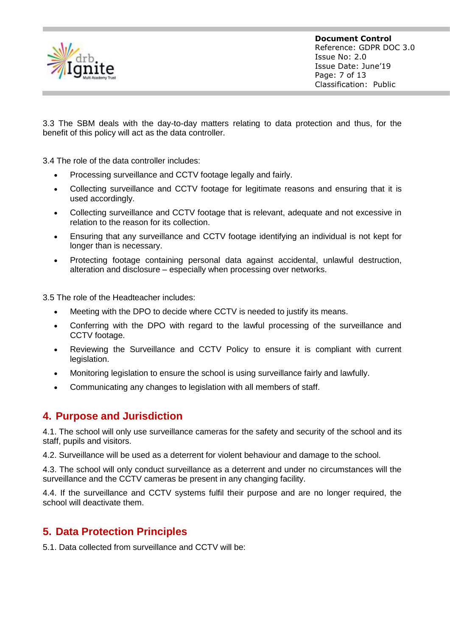

3.3 The SBM deals with the day-to-day matters relating to data protection and thus, for the benefit of this policy will act as the data controller.

3.4 The role of the data controller includes:

- Processing surveillance and CCTV footage legally and fairly.
- Collecting surveillance and CCTV footage for legitimate reasons and ensuring that it is used accordingly.
- Collecting surveillance and CCTV footage that is relevant, adequate and not excessive in relation to the reason for its collection.
- Ensuring that any surveillance and CCTV footage identifying an individual is not kept for longer than is necessary.
- Protecting footage containing personal data against accidental, unlawful destruction, alteration and disclosure – especially when processing over networks.

3.5 The role of the Headteacher includes:

- Meeting with the DPO to decide where CCTV is needed to justify its means.
- Conferring with the DPO with regard to the lawful processing of the surveillance and CCTV footage.
- Reviewing the Surveillance and CCTV Policy to ensure it is compliant with current legislation.
- Monitoring legislation to ensure the school is using surveillance fairly and lawfully.
- <span id="page-6-0"></span>Communicating any changes to legislation with all members of staff.

#### **4. Purpose and Jurisdiction**

4.1. The school will only use surveillance cameras for the safety and security of the school and its staff, pupils and visitors.

4.2. Surveillance will be used as a deterrent for violent behaviour and damage to the school.

4.3. The school will only conduct surveillance as a deterrent and under no circumstances will the surveillance and the CCTV cameras be present in any changing facility.

4.4. If the surveillance and CCTV systems fulfil their purpose and are no longer required, the school will deactivate them.

## <span id="page-6-1"></span>**5. Data Protection Principles**

5.1. Data collected from surveillance and CCTV will be: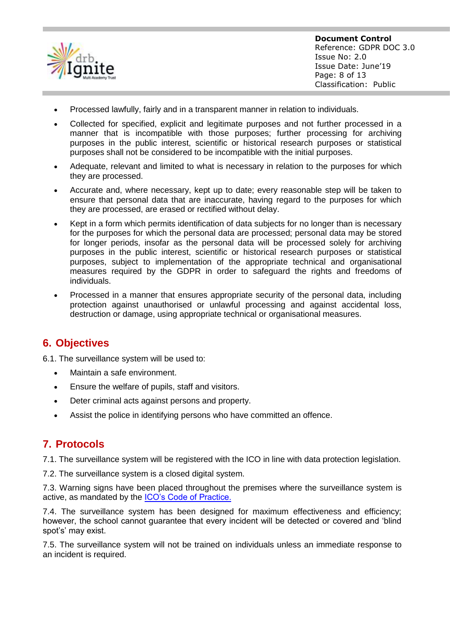

- Processed lawfully, fairly and in a transparent manner in relation to individuals.
- Collected for specified, explicit and legitimate purposes and not further processed in a manner that is incompatible with those purposes; further processing for archiving purposes in the public interest, scientific or historical research purposes or statistical purposes shall not be considered to be incompatible with the initial purposes.
- Adequate, relevant and limited to what is necessary in relation to the purposes for which they are processed.
- Accurate and, where necessary, kept up to date; every reasonable step will be taken to ensure that personal data that are inaccurate, having regard to the purposes for which they are processed, are erased or rectified without delay.
- Kept in a form which permits identification of data subjects for no longer than is necessary for the purposes for which the personal data are processed; personal data may be stored for longer periods, insofar as the personal data will be processed solely for archiving purposes in the public interest, scientific or historical research purposes or statistical purposes, subject to implementation of the appropriate technical and organisational measures required by the GDPR in order to safeguard the rights and freedoms of individuals.
- Processed in a manner that ensures appropriate security of the personal data, including protection against unauthorised or unlawful processing and against accidental loss, destruction or damage, using appropriate technical or organisational measures.

#### <span id="page-7-0"></span>**6. Objectives**

6.1. The surveillance system will be used to:

- Maintain a safe environment.
- Ensure the welfare of pupils, staff and visitors.
- Deter criminal acts against persons and property.
- <span id="page-7-1"></span>Assist the police in identifying persons who have committed an offence.

#### **7. Protocols**

7.1. The surveillance system will be registered with the ICO in line with data protection legislation.

7.2. The surveillance system is a closed digital system.

7.3. Warning signs have been placed throughout the premises where the surveillance system is active, as mandated by the [ICO's Code of Practice.](https://ico.org.uk/media/for-organisations/documents/1068/data_sharing_code_of_practice.pdf)

7.4. The surveillance system has been designed for maximum effectiveness and efficiency; however, the school cannot guarantee that every incident will be detected or covered and 'blind spot's' may exist.

7.5. The surveillance system will not be trained on individuals unless an immediate response to an incident is required.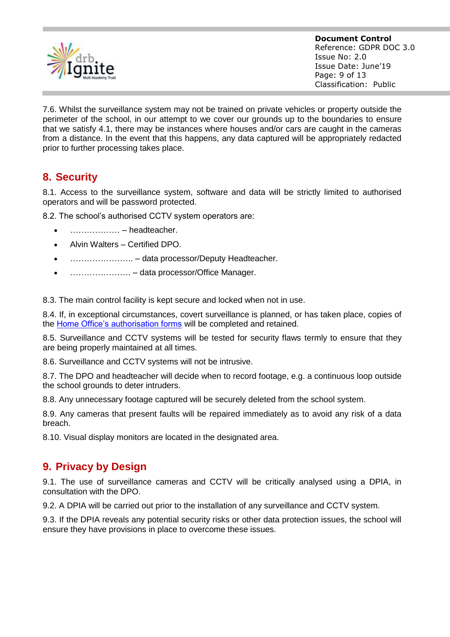

7.6. Whilst the surveillance system may not be trained on private vehicles or property outside the perimeter of the school, in our attempt to we cover our grounds up to the boundaries to ensure that we satisfy 4.1, there may be instances where houses and/or cars are caught in the cameras from a distance. In the event that this happens, any data captured will be appropriately redacted prior to further processing takes place.

## <span id="page-8-0"></span>**8. Security**

8.1. Access to the surveillance system, software and data will be strictly limited to authorised operators and will be password protected.

8.2. The school's authorised CCTV system operators are:

- ……………… headteacher.
- Alvin Walters Certified DPO.
- ………………….. data processor/Deputy Headteacher.
- …………………. data processor/Office Manager.

8.3. The main control facility is kept secure and locked when not in use.

8.4. If, in exceptional circumstances, covert surveillance is planned, or has taken place, copies of the [Home Office's authorisation forms](https://www.gov.uk/government/publications/application-for-use-of-directed-surveillance) will be completed and retained.

8.5. Surveillance and CCTV systems will be tested for security flaws termly to ensure that they are being properly maintained at all times.

8.6. Surveillance and CCTV systems will not be intrusive.

8.7. The DPO and headteacher will decide when to record footage, e.g. a continuous loop outside the school grounds to deter intruders.

8.8. Any unnecessary footage captured will be securely deleted from the school system.

8.9. Any cameras that present faults will be repaired immediately as to avoid any risk of a data breach.

<span id="page-8-1"></span>8.10. Visual display monitors are located in the designated area.

## **9. Privacy by Design**

9.1. The use of surveillance cameras and CCTV will be critically analysed using a DPIA, in consultation with the DPO.

9.2. A DPIA will be carried out prior to the installation of any surveillance and CCTV system.

9.3. If the DPIA reveals any potential security risks or other data protection issues, the school will ensure they have provisions in place to overcome these issues.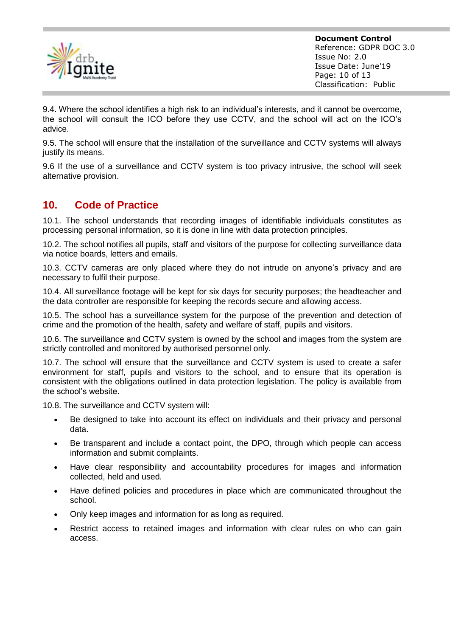

**Document Control** Reference: GDPR DOC 3.0 Issue No: 2.0 Issue Date: June'19 Page: 10 of 13 Classification: Public

9.4. Where the school identifies a high risk to an individual's interests, and it cannot be overcome, the school will consult the ICO before they use CCTV, and the school will act on the ICO's advice.

9.5. The school will ensure that the installation of the surveillance and CCTV systems will always justify its means.

9.6 If the use of a surveillance and CCTV system is too privacy intrusive, the school will seek alternative provision.

## <span id="page-9-0"></span>**10. Code of Practice**

10.1. The school understands that recording images of identifiable individuals constitutes as processing personal information, so it is done in line with data protection principles.

10.2. The school notifies all pupils, staff and visitors of the purpose for collecting surveillance data via notice boards, letters and emails.

10.3. CCTV cameras are only placed where they do not intrude on anyone's privacy and are necessary to fulfil their purpose.

10.4. All surveillance footage will be kept for six days for security purposes; the headteacher and the data controller are responsible for keeping the records secure and allowing access.

10.5. The school has a surveillance system for the purpose of the prevention and detection of crime and the promotion of the health, safety and welfare of staff, pupils and visitors.

10.6. The surveillance and CCTV system is owned by the school and images from the system are strictly controlled and monitored by authorised personnel only.

10.7. The school will ensure that the surveillance and CCTV system is used to create a safer environment for staff, pupils and visitors to the school, and to ensure that its operation is consistent with the obligations outlined in data protection legislation. The policy is available from the school's website.

10.8. The surveillance and CCTV system will:

- Be designed to take into account its effect on individuals and their privacy and personal data.
- Be transparent and include a contact point, the DPO, through which people can access information and submit complaints.
- Have clear responsibility and accountability procedures for images and information collected, held and used.
- Have defined policies and procedures in place which are communicated throughout the school.
- Only keep images and information for as long as required.
- Restrict access to retained images and information with clear rules on who can gain access.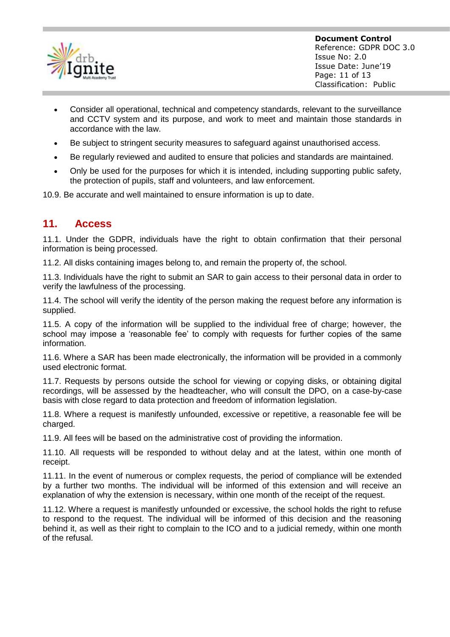

- Consider all operational, technical and competency standards, relevant to the surveillance and CCTV system and its purpose, and work to meet and maintain those standards in accordance with the law.
- Be subject to stringent security measures to safeguard against unauthorised access.
- Be regularly reviewed and audited to ensure that policies and standards are maintained.
- Only be used for the purposes for which it is intended, including supporting public safety, the protection of pupils, staff and volunteers, and law enforcement.

<span id="page-10-0"></span>10.9. Be accurate and well maintained to ensure information is up to date.

#### **11. Access**

11.1. Under the GDPR, individuals have the right to obtain confirmation that their personal information is being processed.

11.2. All disks containing images belong to, and remain the property of, the school.

11.3. Individuals have the right to submit an SAR to gain access to their personal data in order to verify the lawfulness of the processing.

11.4. The school will verify the identity of the person making the request before any information is supplied.

11.5. A copy of the information will be supplied to the individual free of charge; however, the school may impose a 'reasonable fee' to comply with requests for further copies of the same information.

11.6. Where a SAR has been made electronically, the information will be provided in a commonly used electronic format.

11.7. Requests by persons outside the school for viewing or copying disks, or obtaining digital recordings, will be assessed by the headteacher, who will consult the DPO, on a case-by-case basis with close regard to data protection and freedom of information legislation.

11.8. Where a request is manifestly unfounded, excessive or repetitive, a reasonable fee will be charged.

11.9. All fees will be based on the administrative cost of providing the information.

11.10. All requests will be responded to without delay and at the latest, within one month of receipt.

11.11. In the event of numerous or complex requests, the period of compliance will be extended by a further two months. The individual will be informed of this extension and will receive an explanation of why the extension is necessary, within one month of the receipt of the request.

11.12. Where a request is manifestly unfounded or excessive, the school holds the right to refuse to respond to the request. The individual will be informed of this decision and the reasoning behind it, as well as their right to complain to the ICO and to a judicial remedy, within one month of the refusal.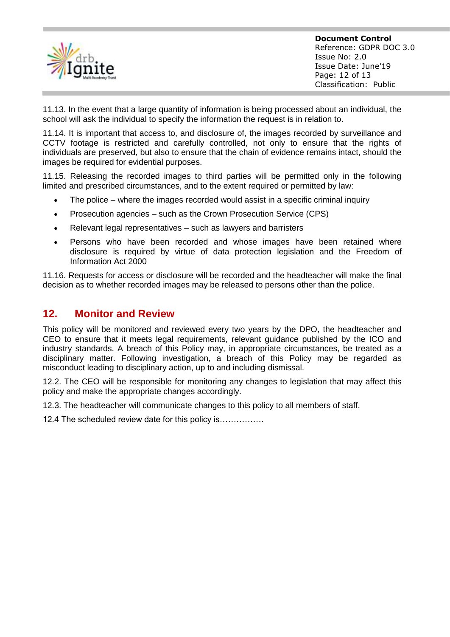

11.13. In the event that a large quantity of information is being processed about an individual, the school will ask the individual to specify the information the request is in relation to.

11.14. It is important that access to, and disclosure of, the images recorded by surveillance and CCTV footage is restricted and carefully controlled, not only to ensure that the rights of individuals are preserved, but also to ensure that the chain of evidence remains intact, should the images be required for evidential purposes.

11.15. Releasing the recorded images to third parties will be permitted only in the following limited and prescribed circumstances, and to the extent required or permitted by law:

- The police where the images recorded would assist in a specific criminal inquiry
- Prosecution agencies such as the Crown Prosecution Service (CPS)
- Relevant legal representatives such as lawyers and barristers
- Persons who have been recorded and whose images have been retained where disclosure is required by virtue of data protection legislation and the Freedom of Information Act 2000

11.16. Requests for access or disclosure will be recorded and the headteacher will make the final decision as to whether recorded images may be released to persons other than the police.

#### <span id="page-11-0"></span>**12. Monitor and Review**

This policy will be monitored and reviewed every two years by the DPO, the headteacher and CEO to ensure that it meets legal requirements, relevant guidance published by the ICO and industry standards. A breach of this Policy may, in appropriate circumstances, be treated as a disciplinary matter. Following investigation, a breach of this Policy may be regarded as misconduct leading to disciplinary action, up to and including dismissal.

12.2. The CEO will be responsible for monitoring any changes to legislation that may affect this policy and make the appropriate changes accordingly.

12.3. The headteacher will communicate changes to this policy to all members of staff.

12.4 The scheduled review date for this policy is…………….